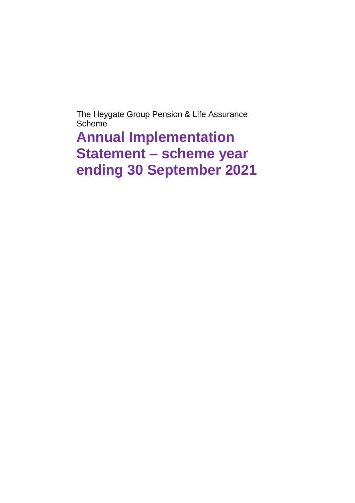The Heygate Group Pension & Life Assurance Scheme

**Annual Implementation Statement – scheme year ending 30 September 2021**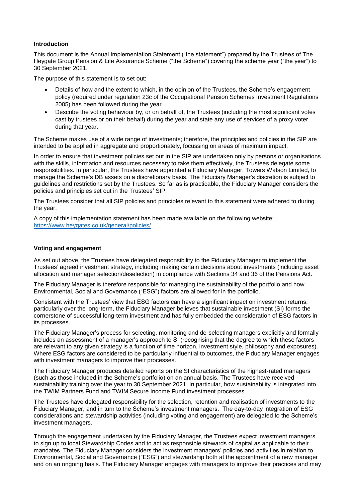## **Introduction**

This document is the Annual Implementation Statement ("the statement") prepared by the Trustees of The Heygate Group Pension & Life Assurance Scheme ("the Scheme") covering the scheme year ("the year") to 30 September 2021.

The purpose of this statement is to set out:

- Details of how and the extent to which, in the opinion of the Trustees, the Scheme's engagement policy (required under regulation 23c of the Occupational Pension Schemes Investment Regulations 2005) has been followed during the year.
- Describe the voting behaviour by, or on behalf of, the Trustees (including the most significant votes cast by trustees or on their behalf) during the year and state any use of services of a proxy voter during that year.

The Scheme makes use of a wide range of investments; therefore, the principles and policies in the SIP are intended to be applied in aggregate and proportionately, focussing on areas of maximum impact.

In order to ensure that investment policies set out in the SIP are undertaken only by persons or organisations with the skills, information and resources necessary to take them effectively, the Trustees delegate some responsibilities. In particular, the Trustees have appointed a Fiduciary Manager, Towers Watson Limited, to manage the Scheme's DB assets on a discretionary basis. The Fiduciary Manager's discretion is subject to guidelines and restrictions set by the Trustees. So far as is practicable, the Fiduciary Manager considers the policies and principles set out in the Trustees' SIP.

The Trustees consider that all SIP policies and principles relevant to this statement were adhered to during the year.

A copy of this implementation statement has been made available on the following website: <https://www.heygates.co.uk/general/policies/>

## **Voting and engagement**

As set out above, the Trustees have delegated responsibility to the Fiduciary Manager to implement the Trustees' agreed investment strategy, including making certain decisions about investments (including asset allocation and manager selection/deselection) in compliance with Sections 34 and 36 of the Pensions Act.

The Fiduciary Manager is therefore responsible for managing the sustainability of the portfolio and how Environmental, Social and Governance ("ESG") factors are allowed for in the portfolio.

Consistent with the Trustees' view that ESG factors can have a significant impact on investment returns, particularly over the long-term, the Fiduciary Manager believes that sustainable investment (SI) forms the cornerstone of successful long-term investment and has fully embedded the consideration of ESG factors in its processes.

The Fiduciary Manager's process for selecting, monitoring and de-selecting managers explicitly and formally includes an assessment of a manager's approach to SI (recognising that the degree to which these factors are relevant to any given strategy is a function of time horizon, investment style, philosophy and exposures). Where ESG factors are considered to be particularly influential to outcomes, the Fiduciary Manager engages with investment managers to improve their processes.

The Fiduciary Manager produces detailed reports on the SI characteristics of the highest-rated managers (such as those included in the Scheme's portfolio) on an annual basis. The Trustees have received sustainability training over the year to 30 September 2021. In particular, how sustainability is integrated into the TWIM Partners Fund and TWIM Secure Income Fund investment processes.

The Trustees have delegated responsibility for the selection, retention and realisation of investments to the Fiduciary Manager, and in turn to the Scheme's investment managers. The day-to-day integration of ESG considerations and stewardship activities (including voting and engagement) are delegated to the Scheme's investment managers.

Through the engagement undertaken by the Fiduciary Manager, the Trustees expect investment managers to sign up to local Stewardship Codes and to act as responsible stewards of capital as applicable to their mandates. The Fiduciary Manager considers the investment managers' policies and activities in relation to Environmental, Social and Governance ("ESG") and stewardship both at the appointment of a new manager and on an ongoing basis. The Fiduciary Manager engages with managers to improve their practices and may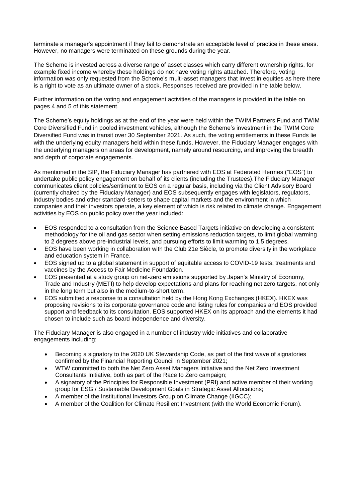terminate a manager's appointment if they fail to demonstrate an acceptable level of practice in these areas. However, no managers were terminated on these grounds during the year.

The Scheme is invested across a diverse range of asset classes which carry different ownership rights, for example fixed income whereby these holdings do not have voting rights attached. Therefore, voting information was only requested from the Scheme's multi-asset managers that invest in equities as here there is a right to vote as an ultimate owner of a stock. Responses received are provided in the table below.

Further information on the voting and engagement activities of the managers is provided in the table on pages 4 and 5 of this statement.

The Scheme's equity holdings as at the end of the year were held within the TWIM Partners Fund and TWIM Core Diversified Fund in pooled investment vehicles, although the Scheme's investment in the TWIM Core Diversified Fund was in transit over 30 September 2021. As such, the voting entitlements in these Funds lie with the underlying equity managers held within these funds. However, the Fiduciary Manager engages with the underlying managers on areas for development, namely around resourcing, and improving the breadth and depth of corporate engagements.

As mentioned in the SIP, the Fiduciary Manager has partnered with EOS at Federated Hermes ("EOS") to undertake public policy engagement on behalf of its clients (including the Trustees).The Fiduciary Manager communicates client policies/sentiment to EOS on a regular basis, including via the Client Advisory Board (currently chaired by the Fiduciary Manager) and EOS subsequently engages with legislators, regulators, industry bodies and other standard-setters to shape capital markets and the environment in which companies and their investors operate, a key element of which is risk related to climate change. Engagement activities by EOS on public policy over the year included:

- EOS responded to a consultation from the Science Based Targets initiative on developing a consistent methodology for the oil and gas sector when setting emissions reduction targets, to limit global warming to 2 degrees above pre-industrial levels, and pursuing efforts to limit warming to 1.5 degrees.
- EOS have been working in collaboration with the Club 21e Siècle, to promote diversity in the workplace and education system in France.
- EOS signed up to a global statement in support of equitable access to COVID-19 tests, treatments and vaccines by the Access to Fair Medicine Foundation.
- EOS presented at a study group on net-zero emissions supported by Japan's Ministry of Economy, Trade and Industry (METI) to help develop expectations and plans for reaching net zero targets, not only in the long term but also in the medium-to-short term.
- EOS submitted a response to a consultation held by the Hong Kong Exchanges (HKEX). HKEX was proposing revisions to its corporate governance code and listing rules for companies and EOS provided support and feedback to its consultation. EOS supported HKEX on its approach and the elements it had chosen to include such as board independence and diversity.

The Fiduciary Manager is also engaged in a number of industry wide initiatives and collaborative engagements including:

- Becoming a signatory to the 2020 UK Stewardship Code, as part of the first wave of signatories confirmed by the Financial Reporting Council in September 2021;
- WTW committed to both the Net Zero Asset Managers Initiative and the Net Zero Investment Consultants Initiative, both as part of the Race to Zero campaign;
- A signatory of the Principles for Responsible Investment (PRI) and active member of their working group for ESG / Sustainable Development Goals in Strategic Asset Allocations;
- A member of the Institutional Investors Group on Climate Change (IIGCC);
- A member of the Coalition for Climate Resilient Investment (with the World Economic Forum).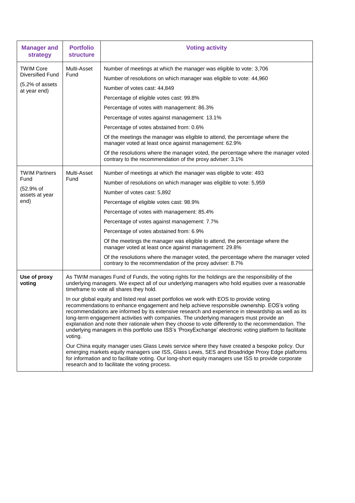| <b>Manager and</b><br>strategy                                                 | <b>Portfolio</b><br><b>structure</b>                                                                                                                                                                                                                                                                                                                                                                                                                                                                                                                                                                                                                                                                                                                                                                                                                                                                                                                                                                                                                                                                                                                                                                                                       | <b>Voting activity</b>                                                                                                                                                                                                                                                                                                                                                                                                                                                                                                                                                                                                                                        |
|--------------------------------------------------------------------------------|--------------------------------------------------------------------------------------------------------------------------------------------------------------------------------------------------------------------------------------------------------------------------------------------------------------------------------------------------------------------------------------------------------------------------------------------------------------------------------------------------------------------------------------------------------------------------------------------------------------------------------------------------------------------------------------------------------------------------------------------------------------------------------------------------------------------------------------------------------------------------------------------------------------------------------------------------------------------------------------------------------------------------------------------------------------------------------------------------------------------------------------------------------------------------------------------------------------------------------------------|---------------------------------------------------------------------------------------------------------------------------------------------------------------------------------------------------------------------------------------------------------------------------------------------------------------------------------------------------------------------------------------------------------------------------------------------------------------------------------------------------------------------------------------------------------------------------------------------------------------------------------------------------------------|
| <b>TWIM Core</b><br><b>Diversified Fund</b><br>(5.2% of assets<br>at year end) | Multi-Asset<br>Fund                                                                                                                                                                                                                                                                                                                                                                                                                                                                                                                                                                                                                                                                                                                                                                                                                                                                                                                                                                                                                                                                                                                                                                                                                        | Number of meetings at which the manager was eligible to vote: 3,706<br>Number of resolutions on which manager was eligible to vote: 44,960<br>Number of votes cast: 44,849<br>Percentage of eligible votes cast: 99.8%<br>Percentage of votes with management: 86.3%<br>Percentage of votes against management: 13.1%<br>Percentage of votes abstained from: 0.6%<br>Of the meetings the manager was eligible to attend, the percentage where the<br>manager voted at least once against management: 62.9%<br>Of the resolutions where the manager voted, the percentage where the manager voted<br>contrary to the recommendation of the proxy adviser: 3.1% |
| <b>TWIM Partners</b><br>Fund<br>(52.9% of<br>assets at year<br>end)            | Multi-Asset<br>Fund                                                                                                                                                                                                                                                                                                                                                                                                                                                                                                                                                                                                                                                                                                                                                                                                                                                                                                                                                                                                                                                                                                                                                                                                                        | Number of meetings at which the manager was eligible to vote: 493<br>Number of resolutions on which manager was eligible to vote: 5,959<br>Number of votes cast: 5,892<br>Percentage of eligible votes cast: 98.9%<br>Percentage of votes with management: 85.4%<br>Percentage of votes against management: 7.7%<br>Percentage of votes abstained from: 6.9%<br>Of the meetings the manager was eligible to attend, the percentage where the<br>manager voted at least once against management: 29.8%<br>Of the resolutions where the manager voted, the percentage where the manager voted<br>contrary to the recommendation of the proxy adviser: 8.7%      |
| Use of proxy<br>voting                                                         | As TWIM manages Fund of Funds, the voting rights for the holdings are the responsibility of the<br>underlying managers. We expect all of our underlying managers who hold equities over a reasonable<br>timeframe to vote all shares they hold.<br>In our global equity and listed real asset portfolios we work with EOS to provide voting<br>recommendations to enhance engagement and help achieve responsible ownership. EOS's voting<br>recommendations are informed by its extensive research and experience in stewardship as well as its<br>long-term engagement activities with companies. The underlying managers must provide an<br>explanation and note their rationale when they choose to vote differently to the recommendation. The<br>underlying managers in this portfolio use ISS's 'ProxyExchange' electronic voting platform to facilitate<br>voting.<br>Our China equity manager uses Glass Lewis service where they have created a bespoke policy. Our<br>emerging markets equity managers use ISS, Glass Lewis, SES and Broadridge Proxy Edge platforms<br>for information and to facilitate voting. Our long-short equity managers use ISS to provide corporate<br>research and to facilitate the voting process. |                                                                                                                                                                                                                                                                                                                                                                                                                                                                                                                                                                                                                                                               |